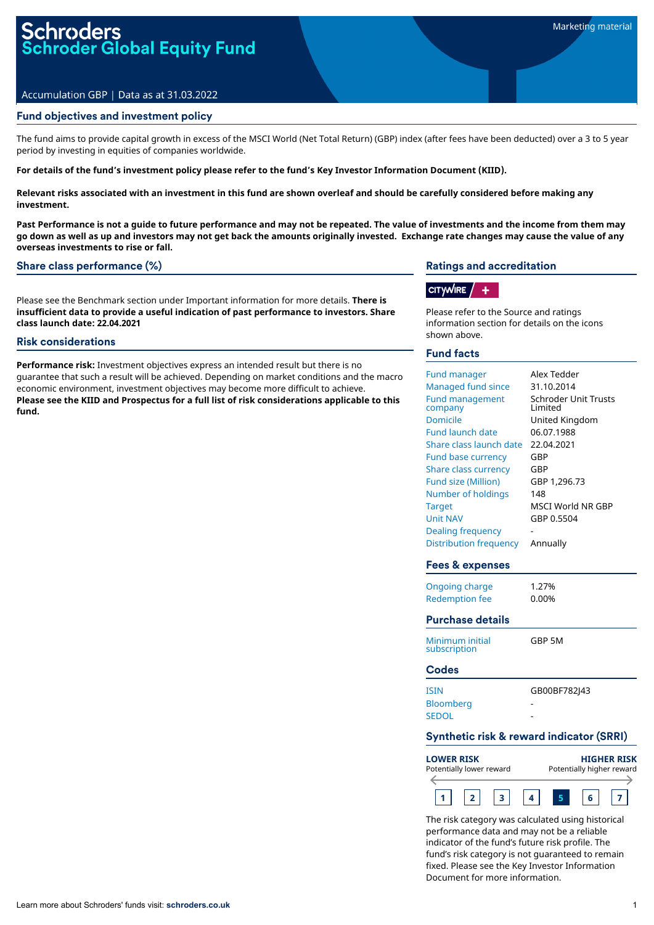# Accumulation GBP | Data as at 31.03.2022

## Fund objectives and investment policy

The fund aims to provide capital growth in excess of the MSCI World (Net Total Return) (GBP) index (after fees have been deducted) over a 3 to 5 year period by investing in equities of companies worldwide.

For details of the fund's investment policy please refer to the fund's Key Investor Information Document (KIID).

Relevant risks associated with an investment in this fund are shown overleaf and should be carefully considered before making any **investment.**

Past Performance is not a quide to future performance and may not be repeated. The value of investments and the income from them may go down as well as up and investors may not get back the amounts originally invested. Exchange rate changes may cause the value of any **overseas investments to rise or fall.**

#### Share class performance (%)

Please see the Benchmark section under Important information for more details. **There is insufficient data to provide a useful indication of past performance to investors. Share class launch date: 22.04.2021**

## Risk considerations

**Performance risk:** Investment objectives express an intended result but there is no guarantee that such a result will be achieved. Depending on market conditions and the macro economic environment, investment objectives may become more difficult to achieve. **Please see the KIID and Prospectus for a full list of risk considerations applicable to this fund.**

## Ratings and accreditation

# $|$  CITYWIRE  $/ |$  +

Please refer to the Source and ratings information section for details on the icons shown above.

## Fund facts

| <b>Fund manager</b><br><b>Managed fund since</b><br><b>Fund management</b><br>company<br><b>Domicile</b><br><b>Fund launch date</b><br>Share class launch date<br><b>Fund base currency</b><br>Share class currency<br><b>Fund size (Million)</b><br>Number of holdings<br><b>Target</b><br><b>Unit NAV</b><br><b>Dealing frequency</b><br><b>Distribution frequency</b><br>Fees & expenses | Alex Tedder<br>31.10.2014<br><b>Schroder Unit Trusts</b><br>Limited<br>United Kingdom<br>06.07.1988<br>22.04.2021<br>GBP<br>GBP<br>GBP 1,296.73<br>148<br>MSCI World NR GBP<br>GBP 0.5504<br>Annually |  |
|---------------------------------------------------------------------------------------------------------------------------------------------------------------------------------------------------------------------------------------------------------------------------------------------------------------------------------------------------------------------------------------------|-------------------------------------------------------------------------------------------------------------------------------------------------------------------------------------------------------|--|
| <b>Ongoing charge</b>                                                                                                                                                                                                                                                                                                                                                                       | 1.27%                                                                                                                                                                                                 |  |
| <b>Redemption fee</b>                                                                                                                                                                                                                                                                                                                                                                       | 0.00%                                                                                                                                                                                                 |  |
| <b>Purchase details</b>                                                                                                                                                                                                                                                                                                                                                                     |                                                                                                                                                                                                       |  |
| Minimum initial<br>subscription                                                                                                                                                                                                                                                                                                                                                             | GBP 5M                                                                                                                                                                                                |  |
| <b>Codes</b>                                                                                                                                                                                                                                                                                                                                                                                |                                                                                                                                                                                                       |  |
| <b>ISIN</b>                                                                                                                                                                                                                                                                                                                                                                                 | GB00BF782J43                                                                                                                                                                                          |  |
| <b>Bloomberg</b><br><b>SEDOL</b>                                                                                                                                                                                                                                                                                                                                                            |                                                                                                                                                                                                       |  |
| <b>Synthetic risk &amp; reward indicator (SRRI)</b>                                                                                                                                                                                                                                                                                                                                         |                                                                                                                                                                                                       |  |
| <b>LOWER RISK</b><br>Potentially lower reward<br>$\leftarrow$                                                                                                                                                                                                                                                                                                                               | <b>HIGHER RISK</b><br>Potentially higher reward                                                                                                                                                       |  |

The risk category was calculated using historical performance data and may not be a reliable indicator of the fund's future risk profile. The fund's risk category is not guaranteed to remain fixed. Please see the Key Investor Information Document for more information.

**1 2 3 4 5 6 7**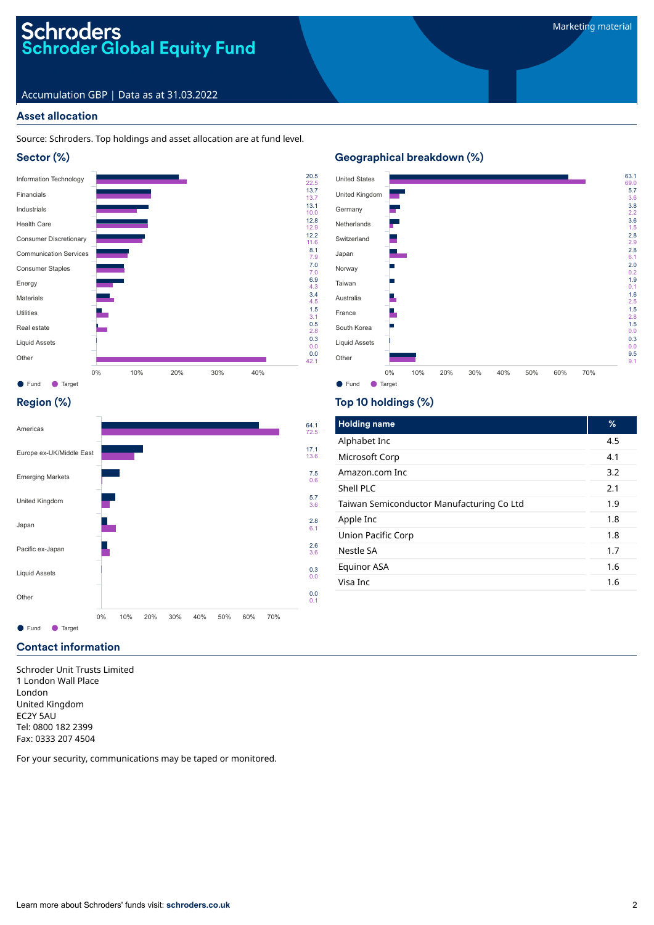# Schroders<br>Schroder Global Equity Fund

# Accumulation GBP | Data as at 31.03.2022

## Asset allocation

Source: Schroders. Top holdings and asset allocation are at fund level.



# Geographical breakdown (%)

22.5 13.7

13.1 10.0 12.8 12.9

12.2 11.6 8.1 7.9

7.0 7.0 6.9 4.3 3.4  $4.5$ 1.5 3.1 0.5 2.8 0.3 0.0 0.0 42.1



# Region (%)



# Top 10 holdings (%)

| <b>Holding name</b>                       | %   |
|-------------------------------------------|-----|
| Alphabet Inc                              | 4.5 |
| Microsoft Corp                            | 4.1 |
| Amazon.com Inc                            | 3.2 |
| Shell PLC                                 | 2.1 |
| Taiwan Semiconductor Manufacturing Co Ltd | 1.9 |
| Apple Inc                                 | 1.8 |
| Union Pacific Corp                        | 1.8 |
| Nestle SA                                 | 1.7 |
| Equinor ASA                               | 1.6 |
| Visa Inc                                  | 1.6 |

## Contact information

Schroder Unit Trusts Limited 1 London Wall Place London United Kingdom EC2Y 5AU Tel: 0800 182 2399 Fax: 0333 207 4504

For your security, communications may be taped or monitored.